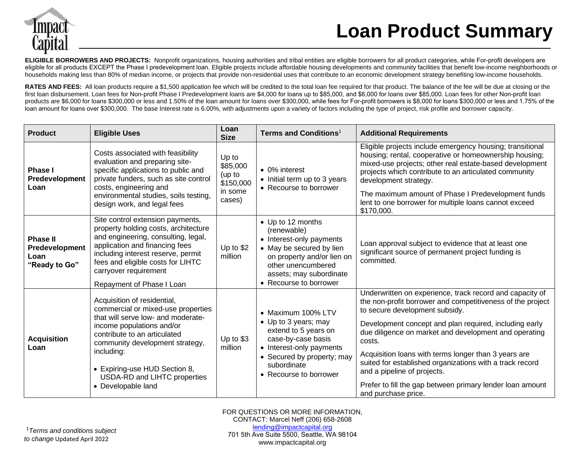

## **Loan Product Summary**

**ELIGIBLE BORROWERS AND PROJECTS:** Nonprofit organizations, housing authorities and tribal entities are eligible borrowers for all product categories, while For-profit developers are eligible for all products EXCEPT the Phase I predevelopment loan. Eligible projects include affordable housing developments and community facilities that benefit low-income neighborhoods or households making less than 80% of median income, or projects that provide non-residential uses that contribute to an economic development strategy benefiting low-income households.

RATES AND FEES: All loan products require a \$1,500 application fee which will be credited to the total loan fee required for that product. The balance of the fee will be due at closing or the first loan disbursement. Loan fees for Non-profit Phase I Predevelopment loans are \$4,000 for loans up to \$85,000, and \$6,000 for loans over \$85,000. Loan fees for other Non-profit loan products are \$6,000 for loans \$300,000 or less and 1.50% of the loan amount for loans over \$300,000, while fees for For-profit borrowers is \$8,000 for loans \$300,000 or less and 1.75% of the loan amount for loans over \$300,000. The base Interest rate is 6.00%, with adjustments upon a variety of factors including the type of project, risk profile and borrower capacity.

| <b>Product</b>                                             | <b>Eligible Uses</b>                                                                                                                                                                                                                                                                                         | Loan<br><b>Size</b>                                           | Terms and Conditions <sup>1</sup>                                                                                                                                                                 | <b>Additional Requirements</b>                                                                                                                                                                                                                                                                                                                                                                                                                                                                                               |
|------------------------------------------------------------|--------------------------------------------------------------------------------------------------------------------------------------------------------------------------------------------------------------------------------------------------------------------------------------------------------------|---------------------------------------------------------------|---------------------------------------------------------------------------------------------------------------------------------------------------------------------------------------------------|------------------------------------------------------------------------------------------------------------------------------------------------------------------------------------------------------------------------------------------------------------------------------------------------------------------------------------------------------------------------------------------------------------------------------------------------------------------------------------------------------------------------------|
| <b>Phase I</b><br>Predevelopment<br>Loan                   | Costs associated with feasibility<br>evaluation and preparing site-<br>specific applications to public and<br>private funders, such as site control<br>costs, engineering and<br>environmental studies, soils testing,<br>design work, and legal fees                                                        | Up to<br>\$85,000<br>(up to<br>\$150,000<br>in some<br>cases) | • 0% interest<br>• Initial term up to 3 years<br>• Recourse to borrower                                                                                                                           | Eligible projects include emergency housing; transitional<br>housing; rental, cooperative or homeownership housing;<br>mixed-use projects; other real estate-based development<br>projects which contribute to an articulated community<br>development strategy.<br>The maximum amount of Phase I Predevelopment funds<br>lent to one borrower for multiple loans cannot exceed<br>\$170,000.                                                                                                                                |
| <b>Phase II</b><br>Predevelopment<br>Loan<br>"Ready to Go" | Site control extension payments,<br>property holding costs, architecture<br>and engineering, consulting, legal,<br>application and financing fees<br>including interest reserve, permit<br>fees and eligible costs for LIHTC<br>carryover requirement<br>Repayment of Phase I Loan                           | Up to \$2<br>million                                          | • Up to 12 months<br>(renewable)<br>• Interest-only payments<br>• May be secured by lien<br>on property and/or lien on<br>other unencumbered<br>assets; may subordinate<br>• Recourse to borrower | Loan approval subject to evidence that at least one<br>significant source of permanent project funding is<br>committed.                                                                                                                                                                                                                                                                                                                                                                                                      |
| <b>Acquisition</b><br>Loan                                 | Acquisition of residential,<br>commercial or mixed-use properties<br>that will serve low- and moderate-<br>income populations and/or<br>contribute to an articulated<br>community development strategy,<br>including:<br>• Expiring-use HUD Section 8,<br>USDA-RD and LIHTC properties<br>• Developable land | Up to \$3<br>million                                          | • Maximum 100% LTV<br>• Up to 3 years; may<br>extend to 5 years on<br>case-by-case basis<br>• Interest-only payments<br>• Secured by property; may<br>subordinate<br>• Recourse to borrower       | Underwritten on experience, track record and capacity of<br>the non-profit borrower and competitiveness of the project<br>to secure development subsidy.<br>Development concept and plan required, including early<br>due diligence on market and development and operating<br>costs.<br>Acquisition loans with terms longer than 3 years are<br>suited for established organizations with a track record<br>and a pipeline of projects.<br>Prefer to fill the gap between primary lender loan amount<br>and purchase price. |